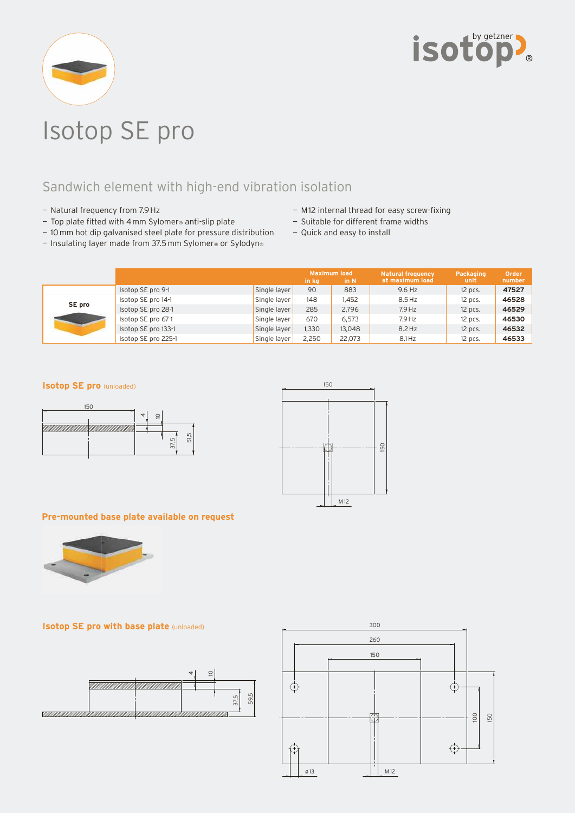



# Isotop SE pro

## Sandwich element with high-end vibration isolation

- Natural frequency from 7.9 Hz
- $-$  Top plate fitted with 4 mm Sylomer® anti-slip plate
- 10 mm hot dip galvanised steel plate for pressure distribution
- Insulating layer made from 37.5 mm Sylomer® or Sylodyn®
- M12 internal thread for easy screw-fixing
- Suitable for different frame widths
- Quick and easy to install

|        |                     |              | in kg | <b>Maximum load</b><br>in N | <b>Natural frequency</b><br>at maximum load | Packaging<br>unit | Order<br>number |
|--------|---------------------|--------------|-------|-----------------------------|---------------------------------------------|-------------------|-----------------|
| SE pro | Isotop SE pro 9-1   | Single layer | 90    | 883                         | 9.6 Hz                                      | 12 pcs.           | 47527           |
|        | Isotop SE pro 14-1  | Single layer | 148   | l.452                       | $8.5$ Hz                                    | 12 pcs.           | 46528           |
|        | Isotop SE pro 28-1  | Single layer | 285   | 2,796                       | $7.9$ Hz                                    | 12 pcs.           | 46529           |
|        | Isotop SE pro 67-1  | Single layer | 670   | 6.573                       | $7.9$ Hz                                    | $12$ pcs.         | 46530           |
|        | Isotop SE pro 133-1 | Single layer | 1,330 | 13,048                      | $8.2$ Hz                                    | 12 pcs.           | 46532           |
|        | Isotop SE pro 225-1 | Single layer | 2,250 | 22,073                      | $8.1$ Hz                                    | 12 pcs.           | 46533           |

#### **Isotop SE pro** (unloaded)





#### **Pre-mounted base plate available on request**



### **Isotop SE pro with base plate** (unloaded)